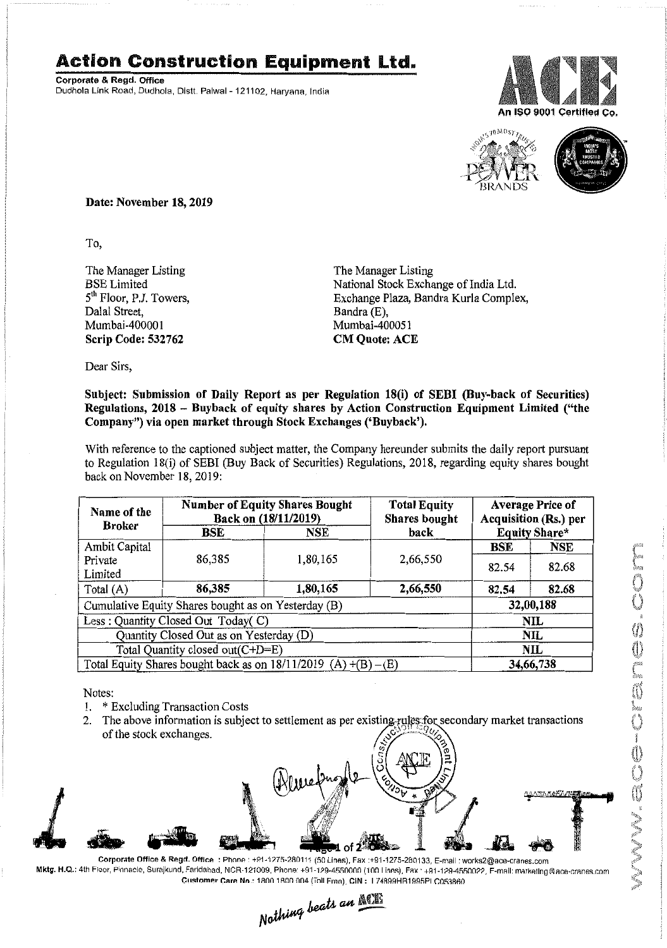## **Action Construction Equipment Ltd.**

Corporate & Regd. Office Dudhola Link Road, Dudhola, Distt. Palwal- 121102, Haryana. India





Date: November 18,2019

To,

The Manager Listing BSELimited 5<sup>th</sup> Floor, P.J. Towers, Dalal Street, Mumbai-400001 Scrip Code: 532762

The Manager Listing National Stock Exchange of India Ltd. Exchange Plaza, Bandra Kurla Complex, Bandra (E), Mumbai-400051 CM Quote: ACE

Dear Sirs,

## Subject: Submission of Daily Report as per Regulation 18(i) of SEBI (Buy-back of Securities) Regulations, 2018 - Buyback of equity shares by Action Construction Equipment Limited ("the Company") via open market through Stock Exchanges ('Buyback').

With reference to the captioned subject matter, the Company hereunder submits the daily report pursuant to Regulation 18(i) of SEBI (Buy Back of Securities) Regulations, 2018, regarding equity shares bought back on November 18,2019:

| Name of the                                                         | <b>Number of Equity Shares Bought</b><br>Back on (18/11/2019) |            | <b>Total Equity</b><br>Shares bought | <b>Average Price of</b><br>Acquisition (Rs.) per |            |  |
|---------------------------------------------------------------------|---------------------------------------------------------------|------------|--------------------------------------|--------------------------------------------------|------------|--|
| <b>Broker</b>                                                       | BSE                                                           | <b>NSE</b> | back                                 | Equity Share*                                    |            |  |
| Ambit Capital                                                       |                                                               |            |                                      | BSE                                              | <b>NSE</b> |  |
| Private<br>Limited                                                  | 86,385                                                        | 1,80,165   | 2,66,550                             | 82.54                                            | 82.68      |  |
| Total $(A)$                                                         | 86,385                                                        | 1,80,165   | 2,66,550                             | 82.54                                            | 82.68      |  |
| Cumulative Equity Shares bought as on Yesterday (B)                 |                                                               |            |                                      | 32,00,188                                        |            |  |
| Less: Quantity Closed Out Today(C)                                  |                                                               |            |                                      | <b>NIL</b>                                       |            |  |
| Quantity Closed Out as on Yesterday (D)                             |                                                               |            |                                      | <b>NIL</b>                                       |            |  |
| Total Quantity closed out(C+D=E)                                    |                                                               |            |                                      |                                                  | NIL        |  |
| Total Equity Shares bought back as on $18/11/2019$ (A) $+(B) - (E)$ |                                                               |            |                                      | 34,66,738                                        |            |  |

Notes:

- 1. \* Excluding Transaction Costs
- 2. The above information is subject to settlement as per existing rules for secondary market transactions of the stock exchanges.



Mktg. H.Q.: 4th Floor, Pinnacle, Surajkund, Faridabad, NCR-121009, Phone: +91-129-4550000 (100 Linns), Fax · +91-129-4550022, F-mail: marketing@ace-cranes.com

Customer Care No: 1800 1800 004 (Toll Free), CIN: I 74899HB1995PLC053860<br>Nathing beats an  $\frac{\text{N}}{\sqrt{\frac{N}{n}}}$